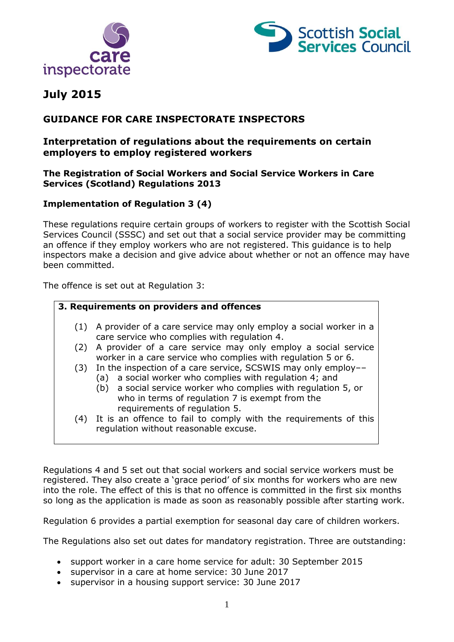



# **July 2015**

# **GUIDANCE FOR CARE INSPECTORATE INSPECTORS**

## **Interpretation of regulations about the requirements on certain employers to employ registered workers**

#### **The Registration of Social Workers and Social Service Workers in Care Services (Scotland) Regulations 2013**

## **Implementation of Regulation 3 (4)**

These regulations require certain groups of workers to register with the Scottish Social Services Council (SSSC) and set out that a social service provider may be committing an offence if they employ workers who are not registered. This guidance is to help inspectors make a decision and give advice about whether or not an offence may have been committed.

The offence is set out at Regulation 3:

# **3. Requirements on providers and offences** (1) A provider of a care service may only employ a social worker in a care service who complies with regulation 4. (2) A provider of a care service may only employ a social service worker in a care service who complies with regulation 5 or 6. (3) In the inspection of a care service, SCSWIS may only employ–– (a) a social worker who complies with regulation 4; and (b) a social service worker who complies with regulation 5, or who in terms of regulation 7 is exempt from the requirements of regulation 5. (4) It is an offence to fail to comply with the requirements of this regulation without reasonable excuse.

Regulations 4 and 5 set out that social workers and social service workers must be registered. They also create a 'grace period' of six months for workers who are new into the role. The effect of this is that no offence is committed in the first six months so long as the application is made as soon as reasonably possible after starting work.

Regulation 6 provides a partial exemption for seasonal day care of children workers.

The Regulations also set out dates for mandatory registration. Three are outstanding:

- support worker in a care home service for adult: 30 September 2015
- supervisor in a care at home service: 30 June 2017
- supervisor in a housing support service: 30 June 2017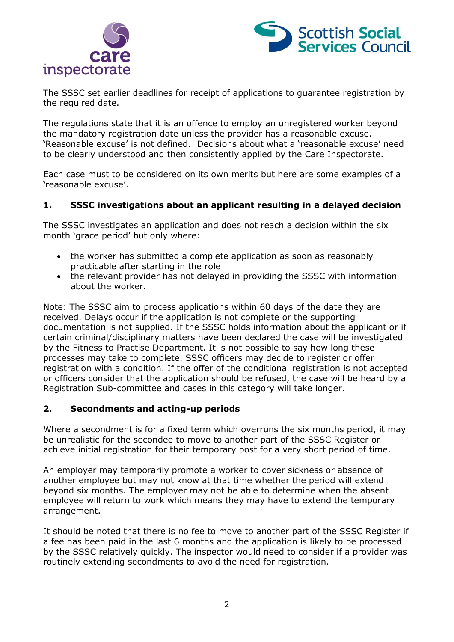



The SSSC set earlier deadlines for receipt of applications to guarantee registration by the required date.

The regulations state that it is an offence to employ an unregistered worker beyond the mandatory registration date unless the provider has a reasonable excuse. 'Reasonable excuse' is not defined. Decisions about what a 'reasonable excuse' need to be clearly understood and then consistently applied by the Care Inspectorate.

Each case must to be considered on its own merits but here are some examples of a 'reasonable excuse'.

## **1. SSSC investigations about an applicant resulting in a delayed decision**

The SSSC investigates an application and does not reach a decision within the six month 'grace period' but only where:

- the worker has submitted a complete application as soon as reasonably practicable after starting in the role
- the relevant provider has not delayed in providing the SSSC with information about the worker.

Note: The SSSC aim to process applications within 60 days of the date they are received. Delays occur if the application is not complete or the supporting documentation is not supplied. If the SSSC holds information about the applicant or if certain criminal/disciplinary matters have been declared the case will be investigated by the Fitness to Practise Department. It is not possible to say how long these processes may take to complete. SSSC officers may decide to register or offer registration with a condition. If the offer of the conditional registration is not accepted or officers consider that the application should be refused, the case will be heard by a Registration Sub-committee and cases in this category will take longer.

#### **2. Secondments and acting-up periods**

Where a secondment is for a fixed term which overruns the six months period, it may be unrealistic for the secondee to move to another part of the SSSC Register or achieve initial registration for their temporary post for a very short period of time.

An employer may temporarily promote a worker to cover sickness or absence of another employee but may not know at that time whether the period will extend beyond six months. The employer may not be able to determine when the absent employee will return to work which means they may have to extend the temporary arrangement.

It should be noted that there is no fee to move to another part of the SSSC Register if a fee has been paid in the last 6 months and the application is likely to be processed by the SSSC relatively quickly. The inspector would need to consider if a provider was routinely extending secondments to avoid the need for registration.